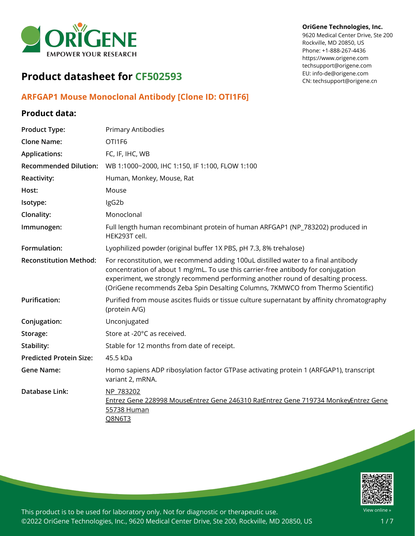

#### **OriGene Technologies, Inc.**

9620 Medical Center Drive, Ste 200 Rockville, MD 20850, US Phone: +1-888-267-4436 https://www.origene.com techsupport@origene.com EU: info-de@origene.com CN: techsupport@origene.cn

# **Product datasheet for CF502593**

## **ARFGAP1 Mouse Monoclonal Antibody [Clone ID: OTI1F6]**

## **Product data:**

| <b>Product Type:</b>           | Primary Antibodies                                                                                                                                                                                                                                                                                                                            |
|--------------------------------|-----------------------------------------------------------------------------------------------------------------------------------------------------------------------------------------------------------------------------------------------------------------------------------------------------------------------------------------------|
| <b>Clone Name:</b>             | OTI1F6                                                                                                                                                                                                                                                                                                                                        |
| <b>Applications:</b>           | FC, IF, IHC, WB                                                                                                                                                                                                                                                                                                                               |
| <b>Recommended Dilution:</b>   | WB 1:1000~2000, IHC 1:150, IF 1:100, FLOW 1:100                                                                                                                                                                                                                                                                                               |
| Reactivity:                    | Human, Monkey, Mouse, Rat                                                                                                                                                                                                                                                                                                                     |
| Host:                          | Mouse                                                                                                                                                                                                                                                                                                                                         |
| Isotype:                       | IgG2b                                                                                                                                                                                                                                                                                                                                         |
| Clonality:                     | Monoclonal                                                                                                                                                                                                                                                                                                                                    |
| Immunogen:                     | Full length human recombinant protein of human ARFGAP1 (NP_783202) produced in<br>HEK293T cell.                                                                                                                                                                                                                                               |
| Formulation:                   | Lyophilized powder (original buffer 1X PBS, pH 7.3, 8% trehalose)                                                                                                                                                                                                                                                                             |
| <b>Reconstitution Method:</b>  | For reconstitution, we recommend adding 100uL distilled water to a final antibody<br>concentration of about 1 mg/mL. To use this carrier-free antibody for conjugation<br>experiment, we strongly recommend performing another round of desalting process.<br>(OriGene recommends Zeba Spin Desalting Columns, 7KMWCO from Thermo Scientific) |
| <b>Purification:</b>           | Purified from mouse ascites fluids or tissue culture supernatant by affinity chromatography<br>(protein A/G)                                                                                                                                                                                                                                  |
| Conjugation:                   | Unconjugated                                                                                                                                                                                                                                                                                                                                  |
| Storage:                       | Store at -20°C as received.                                                                                                                                                                                                                                                                                                                   |
| Stability:                     | Stable for 12 months from date of receipt.                                                                                                                                                                                                                                                                                                    |
| <b>Predicted Protein Size:</b> | 45.5 kDa                                                                                                                                                                                                                                                                                                                                      |
| <b>Gene Name:</b>              | Homo sapiens ADP ribosylation factor GTPase activating protein 1 (ARFGAP1), transcript<br>variant 2, mRNA.                                                                                                                                                                                                                                    |
| Database Link:                 | NP 783202<br>Entrez Gene 228998 MouseEntrez Gene 246310 RatEntrez Gene 719734 MonkeyEntrez Gene<br>55738 Human<br>Q8N6T3                                                                                                                                                                                                                      |

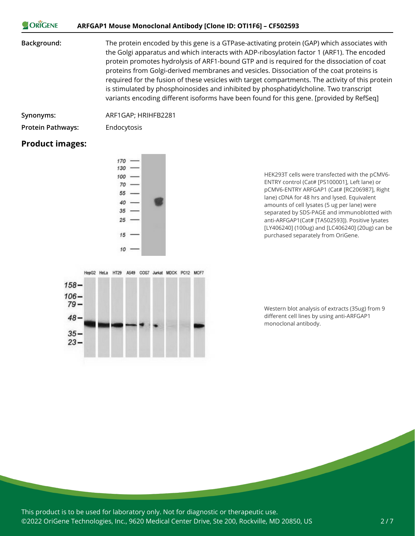#### ORIGENE **ARFGAP1 Mouse Monoclonal Antibody [Clone ID: OTI1F6] – CF502593**

**Background:** The protein encoded by this gene is a GTPase-activating protein (GAP) which associates with the Golgi apparatus and which interacts with ADP-ribosylation factor 1 (ARF1). The encoded protein promotes hydrolysis of ARF1-bound GTP and is required for the dissociation of coat proteins from Golgi-derived membranes and vesicles. Dissociation of the coat proteins is required for the fusion of these vesicles with target compartments. The activity of this protein is stimulated by phosphoinosides and inhibited by phosphatidylcholine. Two transcript variants encoding different isoforms have been found for this gene. [provided by RefSeq]

**Synonyms:** ARF1GAP; HRIHFB2281

**Protein Pathways:** Endocytosis

#### **Product images:**



HEK293T cells were transfected with the pCMV6- ENTRY control (Cat# [PS100001], Left lane) or pCMV6-ENTRY ARFGAP1 (Cat# [RC206987], Right lane) cDNA for 48 hrs and lysed. Equivalent amounts of cell lysates (5 ug per lane) were separated by SDS-PAGE and immunoblotted with anti-ARFGAP1(Cat# [TA502593]). Positive lysates [LY406240] (100ug) and [LC406240] (20ug) can be purchased separately from OriGene.



Western blot analysis of extracts (35ug) from 9 different cell lines by using anti-ARFGAP1 monoclonal antibody.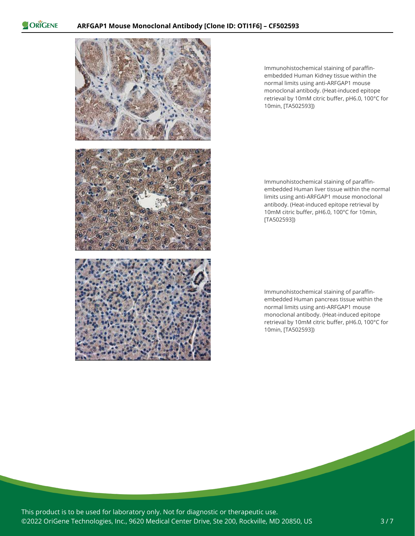

Immunohistochemical staining of paraffinembedded Human Kidney tissue within the normal limits using anti-ARFGAP1 mouse monoclonal antibody. (Heat-induced epitope retrieval by 10mM citric buffer, pH6.0, 100°C for 10min, [TA502593])

Immunohistochemical staining of paraffinembedded Human liver tissue within the normal limits using anti-ARFGAP1 mouse monoclonal antibody. (Heat-induced epitope retrieval by 10mM citric buffer, pH6.0, 100°C for 10min, [TA502593])

Immunohistochemical staining of paraffinembedded Human pancreas tissue within the normal limits using anti-ARFGAP1 mouse monoclonal antibody. (Heat-induced epitope retrieval by 10mM citric buffer, pH6.0, 100°C for 10min, [TA502593])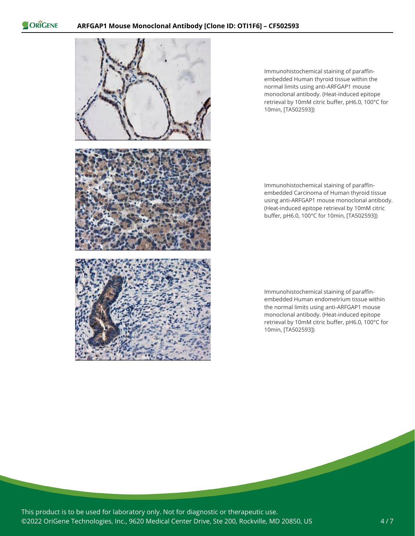

Immunohistochemical staining of paraffinembedded Human thyroid tissue within the normal limits using anti-ARFGAP1 mouse monoclonal antibody. (Heat-induced epitope retrieval by 10mM citric buffer, pH6.0, 100°C for 10min, [TA502593])

Immunohistochemical staining of paraffinembedded Carcinoma of Human thyroid tissue using anti-ARFGAP1 mouse monoclonal antibody. (Heat-induced epitope retrieval by 10mM citric buffer, pH6.0, 100°C for 10min, [TA502593])

Immunohistochemical staining of paraffinembedded Human endometrium tissue within the normal limits using anti-ARFGAP1 mouse monoclonal antibody. (Heat-induced epitope retrieval by 10mM citric buffer, pH6.0, 100°C for 10min, [TA502593])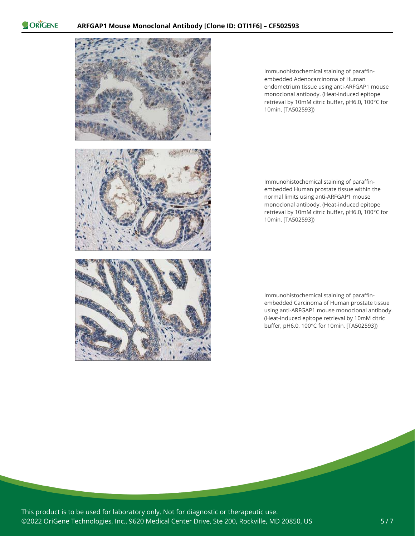

Immunohistochemical staining of paraffinembedded Adenocarcinoma of Human endometrium tissue using anti-ARFGAP1 mouse monoclonal antibody. (Heat-induced epitope retrieval by 10mM citric buffer, pH6.0, 100°C for 10min, [TA502593])

Immunohistochemical staining of paraffinembedded Human prostate tissue within the normal limits using anti-ARFGAP1 mouse monoclonal antibody. (Heat-induced epitope retrieval by 10mM citric buffer, pH6.0, 100°C for 10min, [TA502593])

Immunohistochemical staining of paraffinembedded Carcinoma of Human prostate tissue using anti-ARFGAP1 mouse monoclonal antibody. (Heat-induced epitope retrieval by 10mM citric buffer, pH6.0, 100°C for 10min, [TA502593])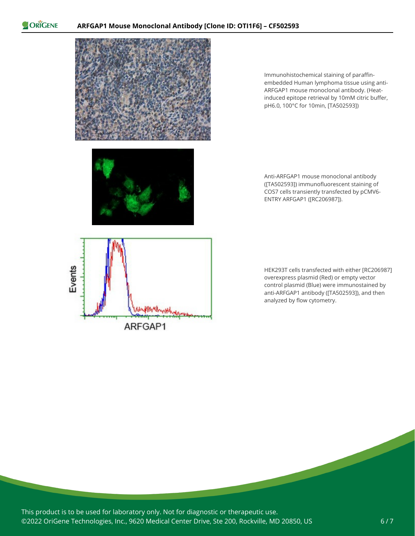

Immunohistochemical staining of paraffinembedded Human lymphoma tissue using anti-ARFGAP1 mouse monoclonal antibody. (Heatinduced epitope retrieval by 10mM citric buffer, pH6.0, 100°C for 10min, [TA502593])



Anti-ARFGAP1 mouse monoclonal antibody ([TA502593]) immunofluorescent staining of COS7 cells transiently transfected by pCMV6- ENTRY ARFGAP1 ([RC206987]).



HEK293T cells transfected with either [RC206987] overexpress plasmid (Red) or empty vector control plasmid (Blue) were immunostained by anti-ARFGAP1 antibody ([TA502593]), and then analyzed by flow cytometry.